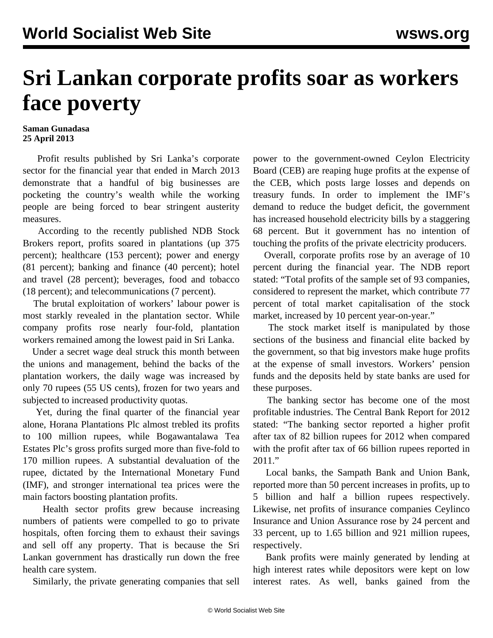## **Sri Lankan corporate profits soar as workers face poverty**

## **Saman Gunadasa 25 April 2013**

 Profit results published by Sri Lanka's corporate sector for the financial year that ended in March 2013 demonstrate that a handful of big businesses are pocketing the country's wealth while the working people are being forced to bear stringent austerity measures.

 According to the recently published NDB Stock Brokers report, profits soared in plantations (up 375 percent); healthcare (153 percent); power and energy (81 percent); banking and finance (40 percent); hotel and travel (28 percent); beverages, food and tobacco (18 percent); and telecommunications (7 percent).

 The brutal exploitation of workers' labour power is most starkly revealed in the plantation sector. While company profits rose nearly four-fold, plantation workers remained among the lowest paid in Sri Lanka.

 Under a secret wage deal struck this month between the unions and management, behind the backs of the plantation workers, the daily wage was increased by only 70 rupees (55 US cents), frozen for two years and subjected to increased productivity quotas.

 Yet, during the final quarter of the financial year alone, Horana Plantations Plc almost trebled its profits to 100 million rupees, while Bogawantalawa Tea Estates Plc's gross profits surged more than five-fold to 170 million rupees. A substantial devaluation of the rupee, dictated by the International Monetary Fund (IMF), and stronger international tea prices were the main factors boosting plantation profits.

 Health sector profits grew because increasing numbers of patients were compelled to go to private hospitals, often forcing them to exhaust their savings and sell off any property. That is because the Sri Lankan government has drastically run down the free health care system.

Similarly, the private generating companies that sell

power to the government-owned Ceylon Electricity Board (CEB) are reaping huge profits at the expense of the CEB, which posts large losses and depends on treasury funds. In order to implement the IMF's demand to reduce the budget deficit, the government has increased household electricity bills by a staggering 68 percent. But it government has no intention of touching the profits of the private electricity producers.

 Overall, corporate profits rose by an average of 10 percent during the financial year. The NDB report stated: "Total profits of the sample set of 93 companies, considered to represent the market, which contribute 77 percent of total market capitalisation of the stock market, increased by 10 percent year-on-year."

 The stock market itself is manipulated by those sections of the business and financial elite backed by the government, so that big investors make huge profits at the expense of small investors. Workers' pension funds and the deposits held by state banks are used for these purposes.

 The banking sector has become one of the most profitable industries. The Central Bank Report for 2012 stated: "The banking sector reported a higher profit after tax of 82 billion rupees for 2012 when compared with the profit after tax of 66 billion rupees reported in 2011."

 Local banks, the Sampath Bank and Union Bank, reported more than 50 percent increases in profits, up to 5 billion and half a billion rupees respectively. Likewise, net profits of insurance companies Ceylinco Insurance and Union Assurance rose by 24 percent and 33 percent, up to 1.65 billion and 921 million rupees, respectively.

 Bank profits were mainly generated by lending at high interest rates while depositors were kept on low interest rates. As well, banks gained from the